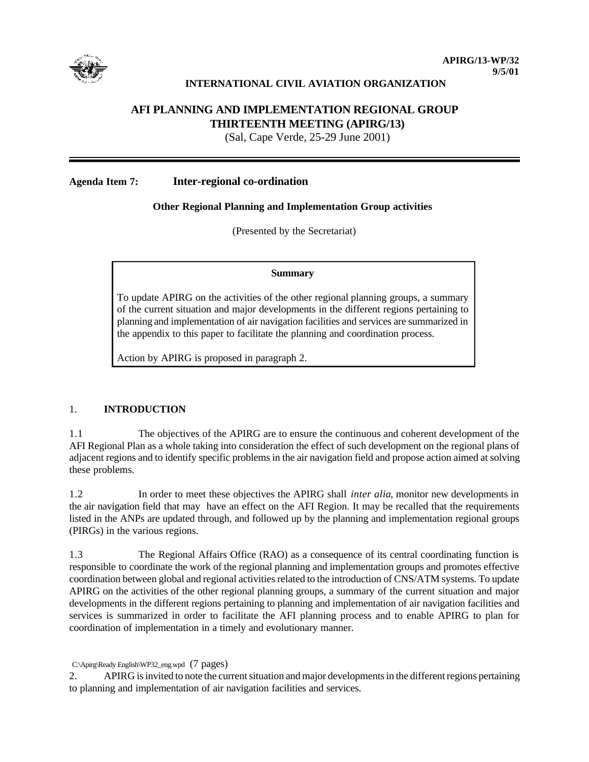

# **INTERNATIONAL CIVIL AVIATION ORGANIZATION**

# **AFI PLANNING AND IMPLEMENTATION REGIONAL GROUP THIRTEENTH MEETING (APIRG/13)**

(Sal, Cape Verde, 25-29 June 2001)

### **Agenda Item 7: Inter-regional co-ordination**

## **Other Regional Planning and Implementation Group activities**

(Presented by the Secretariat)

#### **Summary**

To update APIRG on the activities of the other regional planning groups, a summary of the current situation and major developments in the different regions pertaining to planning and implementation of air navigation facilities and services are summarized in the appendix to this paper to facilitate the planning and coordination process.

Action by APIRG is proposed in paragraph 2.

#### 1. **INTRODUCTION**

1.1 The objectives of the APIRG are to ensure the continuous and coherent development of the AFI Regional Plan as a whole taking into consideration the effect of such development on the regional plans of adjacent regions and to identify specific problems in the air navigation field and propose action aimed at solving these problems.

1.2 In order to meet these objectives the APIRG shall *inter alia*, monitor new developments in the air navigation field that may have an effect on the AFI Region. It may be recalled that the requirements listed in the ANPs are updated through, and followed up by the planning and implementation regional groups (PIRGs) in the various regions.

1.3 The Regional Affairs Office (RAO) as a consequence of its central coordinating function is responsible to coordinate the work of the regional planning and implementation groups and promotes effective coordination between global and regional activities related to the introduction of CNS/ATM systems. To update APIRG on the activities of the other regional planning groups, a summary of the current situation and major developments in the different regions pertaining to planning and implementation of air navigation facilities and services is summarized in order to facilitate the AFI planning process and to enable APIRG to plan for coordination of implementation in a timely and evolutionary manner.

C:\Apirg\Ready English\WP32\_eng.wpd (7 pages)

<sup>2.</sup> APIRG is invited to note the current situation and major developments in the different regions pertaining to planning and implementation of air navigation facilities and services.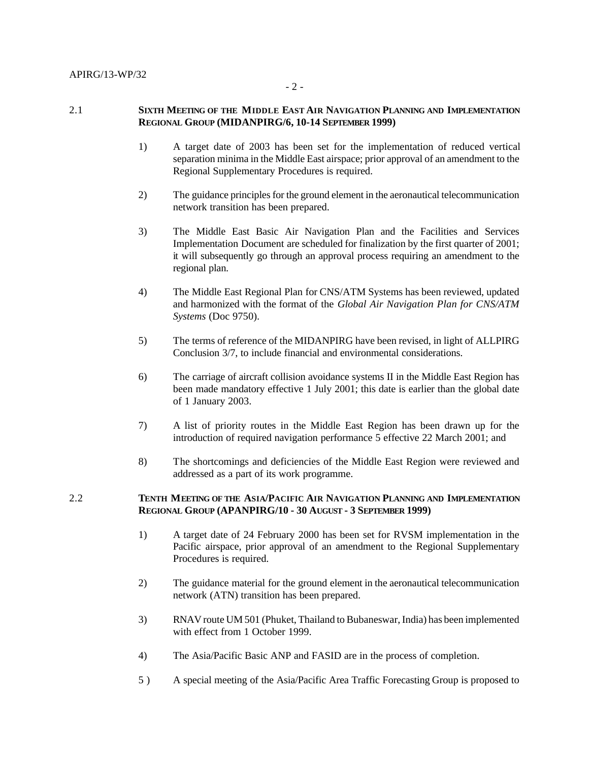#### 2.1 **SIXTH MEETING OF THE MIDDLE EAST AIR NAVIGATION PLANNING AND IMPLEMENTATION REGIONAL GROUP (MIDANPIRG/6, 10-14 SEPTEMBER 1999)**

- 1) A target date of 2003 has been set for the implementation of reduced vertical separation minima in the Middle East airspace; prior approval of an amendment to the Regional Supplementary Procedures is required.
- 2) The guidance principles for the ground element in the aeronautical telecommunication network transition has been prepared.
- 3) The Middle East Basic Air Navigation Plan and the Facilities and Services Implementation Document are scheduled for finalization by the first quarter of 2001; it will subsequently go through an approval process requiring an amendment to the regional plan.
- 4) The Middle East Regional Plan for CNS/ATM Systems has been reviewed, updated and harmonized with the format of the *Global Air Navigation Plan for CNS/ATM Systems* (Doc 9750).
- 5) The terms of reference of the MIDANPIRG have been revised, in light of ALLPIRG Conclusion 3/7, to include financial and environmental considerations.
- 6) The carriage of aircraft collision avoidance systems II in the Middle East Region has been made mandatory effective 1 July 2001; this date is earlier than the global date of 1 January 2003.
- 7) A list of priority routes in the Middle East Region has been drawn up for the introduction of required navigation performance 5 effective 22 March 2001; and
- 8) The shortcomings and deficiencies of the Middle East Region were reviewed and addressed as a part of its work programme.

# 2.2 **TENTH MEETING OF THE ASIA/PACIFIC AIR NAVIGATION PLANNING AND IMPLEMENTATION REGIONAL GROUP (APANPIRG/10 - 30 AUGUST - 3 SEPTEMBER 1999)**

- 1) A target date of 24 February 2000 has been set for RVSM implementation in the Pacific airspace, prior approval of an amendment to the Regional Supplementary Procedures is required.
- 2) The guidance material for the ground element in the aeronautical telecommunication network (ATN) transition has been prepared.
- 3) RNAV route UM 501 (Phuket, Thailand to Bubaneswar, India) has been implemented with effect from 1 October 1999.
- 4) The Asia/Pacific Basic ANP and FASID are in the process of completion.
- 5 ) A special meeting of the Asia/Pacific Area Traffic Forecasting Group is proposed to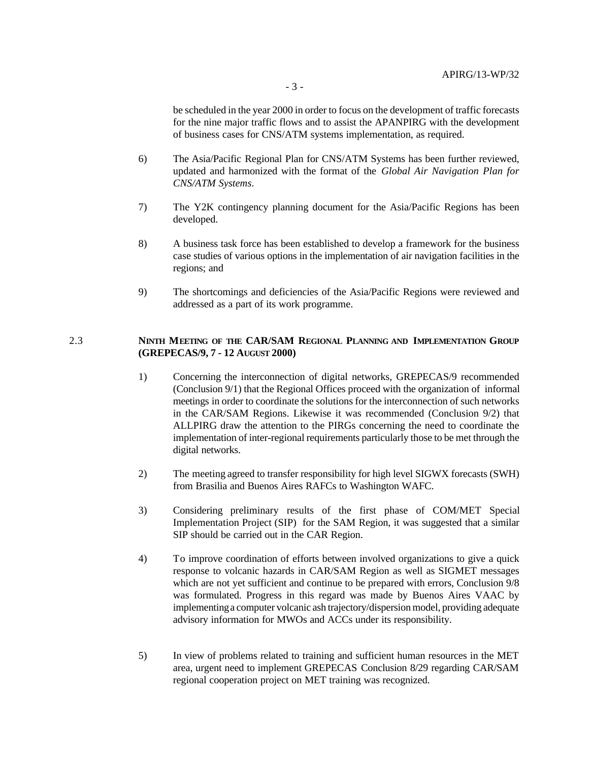be scheduled in the year 2000 in order to focus on the development of traffic forecasts for the nine major traffic flows and to assist the APANPIRG with the development of business cases for CNS/ATM systems implementation, as required.

- 6) The Asia/Pacific Regional Plan for CNS/ATM Systems has been further reviewed, updated and harmonized with the format of the *Global Air Navigation Plan for CNS/ATM Systems*.
- 7) The Y2K contingency planning document for the Asia/Pacific Regions has been developed.
- 8) A business task force has been established to develop a framework for the business case studies of various options in the implementation of air navigation facilities in the regions; and
- 9) The shortcomings and deficiencies of the Asia/Pacific Regions were reviewed and addressed as a part of its work programme.

## 2.3 **NINTH MEETING OF THE CAR/SAM REGIONAL PLANNING AND IMPLEMENTATION GROUP (GREPECAS/9, 7 - 12 AUGUST 2000)**

- 1) Concerning the interconnection of digital networks, GREPECAS/9 recommended (Conclusion 9/1) that the Regional Offices proceed with the organization of informal meetings in order to coordinate the solutions for the interconnection of such networks in the CAR/SAM Regions. Likewise it was recommended (Conclusion 9/2) that ALLPIRG draw the attention to the PIRGs concerning the need to coordinate the implementation of inter-regional requirements particularly those to be met through the digital networks.
- 2) The meeting agreed to transfer responsibility for high level SIGWX forecasts (SWH) from Brasilia and Buenos Aires RAFCs to Washington WAFC.
- 3) Considering preliminary results of the first phase of COM/MET Special Implementation Project (SIP) for the SAM Region, it was suggested that a similar SIP should be carried out in the CAR Region.
- 4) To improve coordination of efforts between involved organizations to give a quick response to volcanic hazards in CAR/SAM Region as well as SIGMET messages which are not yet sufficient and continue to be prepared with errors, Conclusion 9/8 was formulated. Progress in this regard was made by Buenos Aires VAAC by implementing a computer volcanic ash trajectory/dispersion model, providing adequate advisory information for MWOs and ACCs under its responsibility.
- 5) In view of problems related to training and sufficient human resources in the MET area, urgent need to implement GREPECAS Conclusion 8/29 regarding CAR/SAM regional cooperation project on MET training was recognized.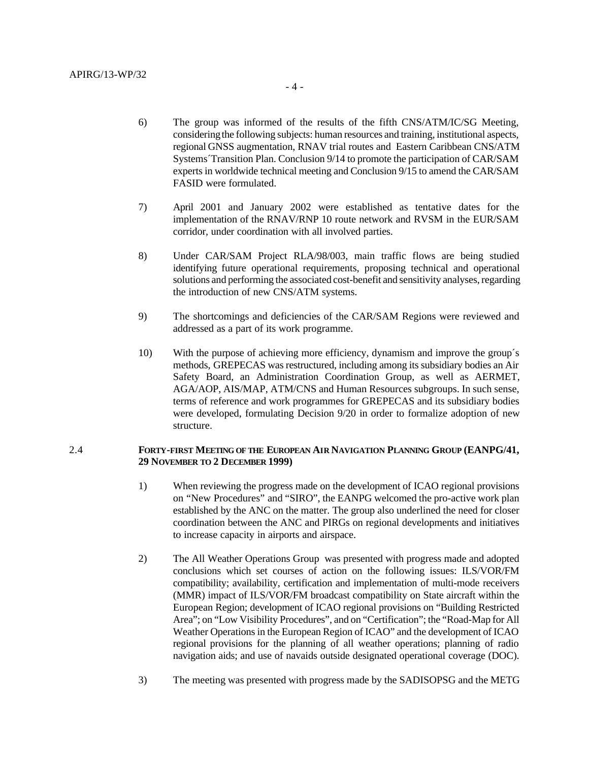- 6) The group was informed of the results of the fifth CNS/ATM/IC/SG Meeting, considering the following subjects: human resources and training, institutional aspects, regional GNSS augmentation, RNAV trial routes and Eastern Caribbean CNS/ATM Systems´Transition Plan. Conclusion 9/14 to promote the participation of CAR/SAM
- 7) April 2001 and January 2002 were established as tentative dates for the implementation of the RNAV/RNP 10 route network and RVSM in the EUR/SAM corridor, under coordination with all involved parties.

experts in worldwide technical meeting and Conclusion 9/15 to amend the CAR/SAM

- 8) Under CAR/SAM Project RLA/98/003, main traffic flows are being studied identifying future operational requirements, proposing technical and operational solutions and performing the associated cost-benefit and sensitivity analyses, regarding the introduction of new CNS/ATM systems.
- 9) The shortcomings and deficiencies of the CAR/SAM Regions were reviewed and addressed as a part of its work programme.
- 10) With the purpose of achieving more efficiency, dynamism and improve the group´s methods, GREPECAS was restructured, including among its subsidiary bodies an Air Safety Board, an Administration Coordination Group, as well as AERMET, AGA/AOP, AIS/MAP, ATM/CNS and Human Resources subgroups. In such sense, terms of reference and work programmes for GREPECAS and its subsidiary bodies were developed, formulating Decision 9/20 in order to formalize adoption of new structure.

#### 2.4 **FORTY-FIRST MEETING OF THE EUROPEAN AIR NAVIGATION PLANNING GROUP (EANPG/41, 29 NOVEMBER TO 2 DECEMBER 1999)**

- 1) When reviewing the progress made on the development of ICAO regional provisions on "New Procedures" and "SIRO", the EANPG welcomed the pro-active work plan established by the ANC on the matter. The group also underlined the need for closer coordination between the ANC and PIRGs on regional developments and initiatives to increase capacity in airports and airspace.
- 2) The All Weather Operations Group was presented with progress made and adopted conclusions which set courses of action on the following issues: ILS/VOR/FM compatibility; availability, certification and implementation of multi-mode receivers (MMR) impact of ILS/VOR/FM broadcast compatibility on State aircraft within the European Region; development of ICAO regional provisions on "Building Restricted Area"; on "Low Visibility Procedures", and on "Certification"; the "Road-Map for All Weather Operations in the European Region of ICAO" and the development of ICAO regional provisions for the planning of all weather operations; planning of radio navigation aids; and use of navaids outside designated operational coverage (DOC).
- 3) The meeting was presented with progress made by the SADISOPSG and the METG

FASID were formulated.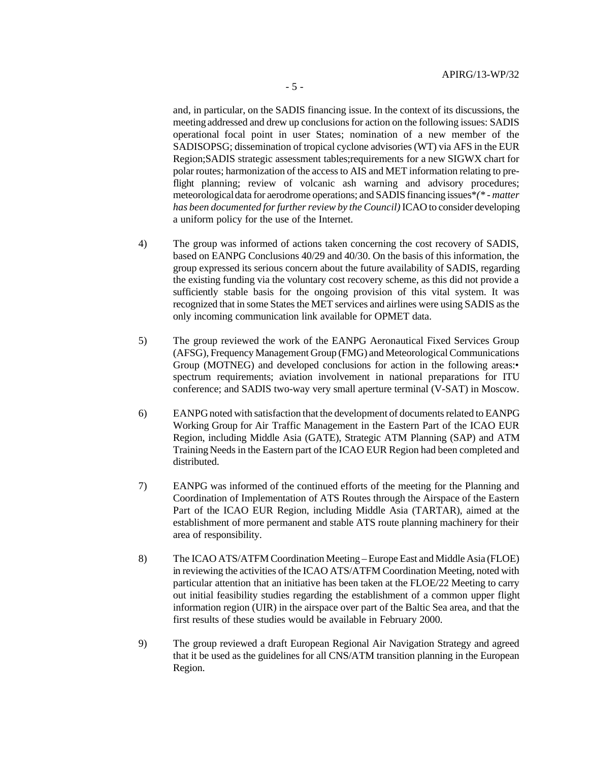and, in particular, on the SADIS financing issue. In the context of its discussions, the meeting addressed and drew up conclusions for action on the following issues: SADIS operational focal point in user States; nomination of a new member of the SADISOPSG; dissemination of tropical cyclone advisories (WT) via AFS in the EUR Region;SADIS strategic assessment tables;requirements for a new SIGWX chart for polar routes; harmonization of the access to AIS and MET information relating to preflight planning; review of volcanic ash warning and advisory procedures; meteorological data for aerodrome operations; and SADIS financing issues\**(\* - matter has been documented for further review by the Council)* ICAO to consider developing a uniform policy for the use of the Internet.

- 4) The group was informed of actions taken concerning the cost recovery of SADIS, based on EANPG Conclusions 40/29 and 40/30. On the basis of this information, the group expressed its serious concern about the future availability of SADIS, regarding the existing funding via the voluntary cost recovery scheme, as this did not provide a sufficiently stable basis for the ongoing provision of this vital system. It was recognized that in some States the MET services and airlines were using SADIS as the only incoming communication link available for OPMET data.
- 5) The group reviewed the work of the EANPG Aeronautical Fixed Services Group (AFSG), Frequency Management Group (FMG) and Meteorological Communications Group (MOTNEG) and developed conclusions for action in the following areas:• spectrum requirements; aviation involvement in national preparations for ITU conference; and SADIS two-way very small aperture terminal (V-SAT) in Moscow.
- 6) EANPG noted with satisfaction that the development of documents related to EANPG Working Group for Air Traffic Management in the Eastern Part of the ICAO EUR Region, including Middle Asia (GATE), Strategic ATM Planning (SAP) and ATM Training Needs in the Eastern part of the ICAO EUR Region had been completed and distributed.
- 7) EANPG was informed of the continued efforts of the meeting for the Planning and Coordination of Implementation of ATS Routes through the Airspace of the Eastern Part of the ICAO EUR Region, including Middle Asia (TARTAR), aimed at the establishment of more permanent and stable ATS route planning machinery for their area of responsibility.
- 8) The ICAO ATS/ATFM Coordination Meeting Europe East and Middle Asia (FLOE) in reviewing the activities of the ICAO ATS/ATFM Coordination Meeting, noted with particular attention that an initiative has been taken at the FLOE/22 Meeting to carry out initial feasibility studies regarding the establishment of a common upper flight information region (UIR) in the airspace over part of the Baltic Sea area, and that the first results of these studies would be available in February 2000.
- 9) The group reviewed a draft European Regional Air Navigation Strategy and agreed that it be used as the guidelines for all CNS/ATM transition planning in the European Region.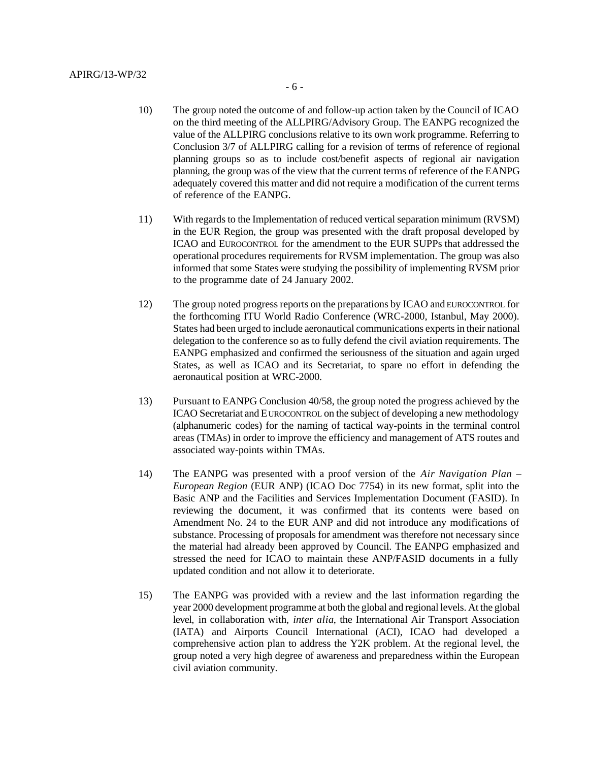- 10) The group noted the outcome of and follow-up action taken by the Council of ICAO on the third meeting of the ALLPIRG/Advisory Group. The EANPG recognized the value of the ALLPIRG conclusions relative to its own work programme. Referring to Conclusion 3/7 of ALLPIRG calling for a revision of terms of reference of regional planning groups so as to include cost/benefit aspects of regional air navigation planning, the group was of the view that the current terms of reference of the EANPG adequately covered this matter and did not require a modification of the current terms of reference of the EANPG.
- 11) With regards to the Implementation of reduced vertical separation minimum (RVSM) in the EUR Region, the group was presented with the draft proposal developed by ICAO and EUROCONTROL for the amendment to the EUR SUPPs that addressed the operational procedures requirements for RVSM implementation. The group was also informed that some States were studying the possibility of implementing RVSM prior to the programme date of 24 January 2002.
- 12) The group noted progress reports on the preparations by ICAO and EUROCONTROL for the forthcoming ITU World Radio Conference (WRC-2000, Istanbul, May 2000). States had been urged to include aeronautical communications experts in their national delegation to the conference so as to fully defend the civil aviation requirements. The EANPG emphasized and confirmed the seriousness of the situation and again urged States, as well as ICAO and its Secretariat, to spare no effort in defending the aeronautical position at WRC-2000.
- 13) Pursuant to EANPG Conclusion 40/58, the group noted the progress achieved by the ICAO Secretariat and EUROCONTROL on the subject of developing a new methodology (alphanumeric codes) for the naming of tactical way-points in the terminal control areas (TMAs) in order to improve the efficiency and management of ATS routes and associated way-points within TMAs.
- 14) The EANPG was presented with a proof version of the *Air Navigation Plan – European Region* (EUR ANP) (ICAO Doc 7754) in its new format, split into the Basic ANP and the Facilities and Services Implementation Document (FASID). In reviewing the document, it was confirmed that its contents were based on Amendment No. 24 to the EUR ANP and did not introduce any modifications of substance. Processing of proposals for amendment was therefore not necessary since the material had already been approved by Council. The EANPG emphasized and stressed the need for ICAO to maintain these ANP/FASID documents in a fully updated condition and not allow it to deteriorate.
- 15) The EANPG was provided with a review and the last information regarding the year 2000 development programme at both the global and regional levels. At the global level, in collaboration with, *inter alia*, the International Air Transport Association (IATA) and Airports Council International (ACI), ICAO had developed a comprehensive action plan to address the Y2K problem. At the regional level, the group noted a very high degree of awareness and preparedness within the European civil aviation community.